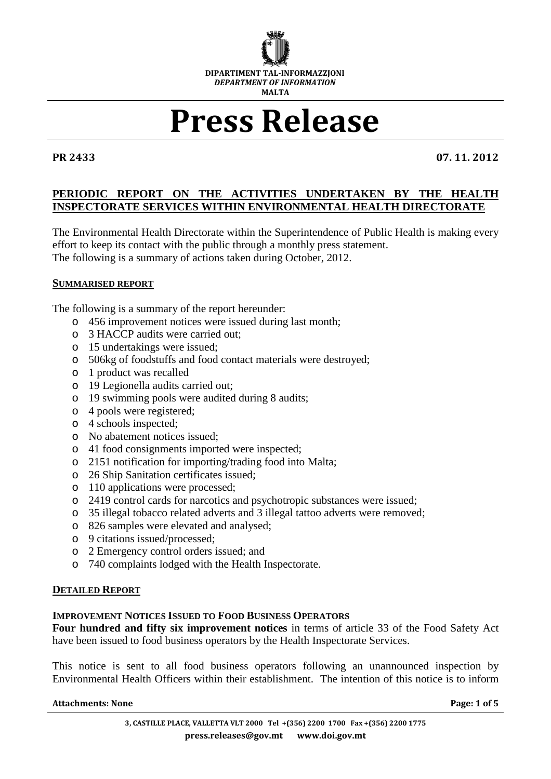

# Press Release

PR 2433 07. 11. 2012

### **PERIODIC REPORT ON THE ACTIVITIES UNDERTAKEN BY THE HEALTH INSPECTORATE SERVICES WITHIN ENVIRONMENTAL HEALTH DIRECTORATE**

The Environmental Health Directorate within the Superintendence of Public Health is making every effort to keep its contact with the public through a monthly press statement. The following is a summary of actions taken during October, 2012.

#### **SUMMARISED REPORT**

The following is a summary of the report hereunder:

- o 456 improvement notices were issued during last month;
- o 3 HACCP audits were carried out;
- o 15 undertakings were issued;
- o 506kg of foodstuffs and food contact materials were destroyed;
- o 1 product was recalled
- o 19 Legionella audits carried out;
- o 19 swimming pools were audited during 8 audits;
- o 4 pools were registered;
- o 4 schools inspected;
- o No abatement notices issued;
- o 41 food consignments imported were inspected;
- o 2151 notification for importing/trading food into Malta;
- o 26 Ship Sanitation certificates issued;
- o 110 applications were processed;
- o 2419 control cards for narcotics and psychotropic substances were issued;
- o 35 illegal tobacco related adverts and 3 illegal tattoo adverts were removed;
- o 826 samples were elevated and analysed;
- o 9 citations issued/processed;
- o 2 Emergency control orders issued; and
- o 740 complaints lodged with the Health Inspectorate.

#### **DETAILED REPORT**

#### **IMPROVEMENT NOTICES ISSUED TO FOOD BUSINESS OPERATORS**

**Four hundred and fifty six improvement notices** in terms of article 33 of the Food Safety Act have been issued to food business operators by the Health Inspectorate Services.

This notice is sent to all food business operators following an unannounced inspection by Environmental Health Officers within their establishment. The intention of this notice is to inform

#### Attachments: None **Page: 1** of 5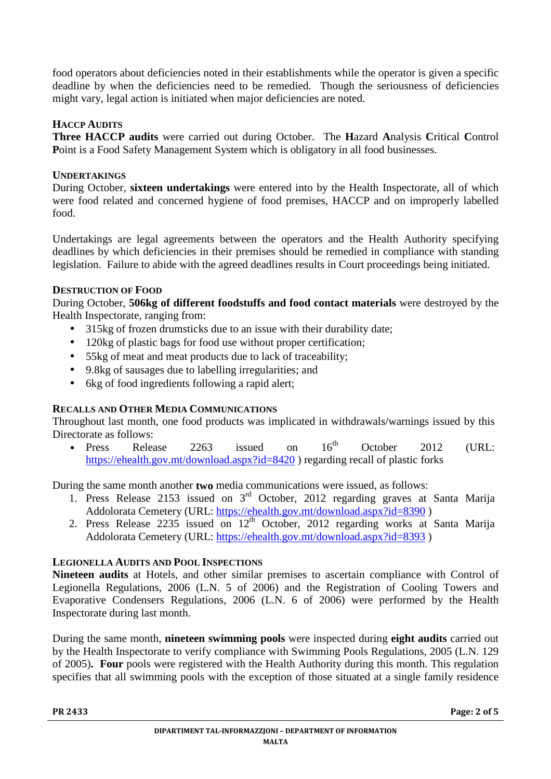food operators about deficiencies noted in their establishments while the operator is given a specific deadline by when the deficiencies need to be remedied. Though the seriousness of deficiencies might vary, legal action is initiated when major deficiencies are noted.

# **HACCP AUDITS**

**Three HACCP audits** were carried out during October. The **H**azard **A**nalysis **C**ritical **C**ontrol Point is a Food Safety Management System which is obligatory in all food businesses.

# **UNDERTAKINGS**

During October, **sixteen undertakings** were entered into by the Health Inspectorate, all of which were food related and concerned hygiene of food premises, HACCP and on improperly labelled food.

Undertakings are legal agreements between the operators and the Health Authority specifying deadlines by which deficiencies in their premises should be remedied in compliance with standing legislation. Failure to abide with the agreed deadlines results in Court proceedings being initiated.

# **DESTRUCTION OF FOOD**

During October, **506kg of different foodstuffs and food contact materials** were destroyed by the Health Inspectorate, ranging from:

- 315kg of frozen drumsticks due to an issue with their durability date;
- 120kg of plastic bags for food use without proper certification:
- 55kg of meat and meat products due to lack of traceability;
- 9.8kg of sausages due to labelling irregularities; and
- 6kg of food ingredients following a rapid alert;

# **RECALLS AND OTHER MEDIA COMMUNICATIONS**

Throughout last month, one food products was implicated in withdrawals/warnings issued by this Directorate as follows:

• Press Release 2263 issued on  $16^{th}$  October 2012 (URL: https://ehealth.gov.mt/download.aspx?id=8420 ) regarding recall of plastic forks

During the same month another **two** media communications were issued, as follows:

- 1. Press Release 2153 issued on 3<sup>rd</sup> October, 2012 regarding graves at Santa Marija Addolorata Cemetery (URL: https://ehealth.gov.mt/download.aspx?id=8390 )
- 2. Press Release  $2235$  issued on  $12<sup>th</sup>$  October,  $2012$  regarding works at Santa Marija Addolorata Cemetery (URL: https://ehealth.gov.mt/download.aspx?id=8393 )

# **LEGIONELLA AUDITS AND POOL INSPECTIONS**

**Nineteen audits** at Hotels, and other similar premises to ascertain compliance with Control of Legionella Regulations, 2006 (L.N. 5 of 2006) and the Registration of Cooling Towers and Evaporative Condensers Regulations, 2006 (L.N. 6 of 2006) were performed by the Health Inspectorate during last month.

During the same month, **nineteen swimming pools** were inspected during **eight audits** carried out by the Health Inspectorate to verify compliance with Swimming Pools Regulations, 2005 (L.N. 129 of 2005)**. Four** pools were registered with the Health Authority during this month. This regulation specifies that all swimming pools with the exception of those situated at a single family residence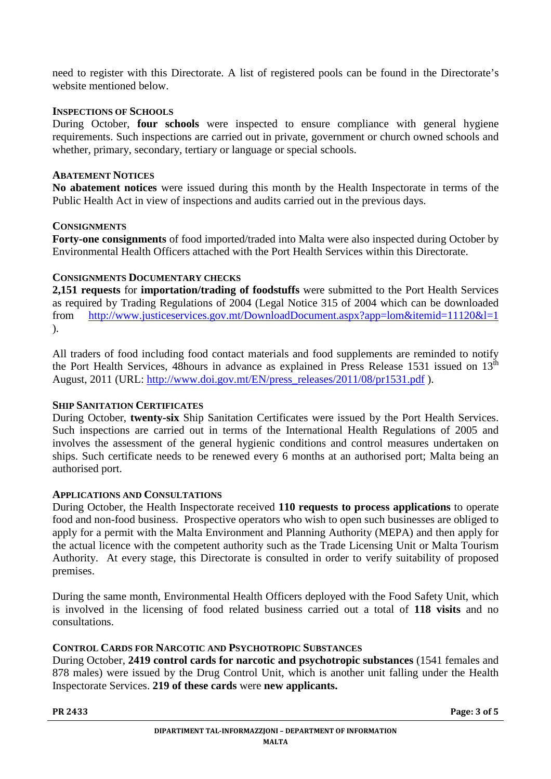need to register with this Directorate. A list of registered pools can be found in the Directorate's website mentioned below.

### **INSPECTIONS OF SCHOOLS**

During October, **four schools** were inspected to ensure compliance with general hygiene requirements. Such inspections are carried out in private, government or church owned schools and whether, primary, secondary, tertiary or language or special schools.

#### **ABATEMENT NOTICES**

**No abatement notices** were issued during this month by the Health Inspectorate in terms of the Public Health Act in view of inspections and audits carried out in the previous days.

### **CONSIGNMENTS**

**Forty-one consignments** of food imported/traded into Malta were also inspected during October by Environmental Health Officers attached with the Port Health Services within this Directorate.

### **CONSIGNMENTS DOCUMENTARY CHECKS**

**2,151 requests** for **importation/trading of foodstuffs** were submitted to the Port Health Services as required by Trading Regulations of 2004 (Legal Notice 315 of 2004 which can be downloaded from http://www.justiceservices.gov.mt/DownloadDocument.aspx?app=lom&itemid=11120&l=1 ).

All traders of food including food contact materials and food supplements are reminded to notify the Port Health Services, 48hours in advance as explained in Press Release 1531 issued on  $13<sup>th</sup>$ August, 2011 (URL: http://www.doi.gov.mt/EN/press\_releases/2011/08/pr1531.pdf ).

#### **SHIP SANITATION CERTIFICATES**

During October, **twenty-six** Ship Sanitation Certificates were issued by the Port Health Services. Such inspections are carried out in terms of the International Health Regulations of 2005 and involves the assessment of the general hygienic conditions and control measures undertaken on ships. Such certificate needs to be renewed every 6 months at an authorised port; Malta being an authorised port.

#### **APPLICATIONS AND CONSULTATIONS**

During October, the Health Inspectorate received **110 requests to process applications** to operate food and non-food business. Prospective operators who wish to open such businesses are obliged to apply for a permit with the Malta Environment and Planning Authority (MEPA) and then apply for the actual licence with the competent authority such as the Trade Licensing Unit or Malta Tourism Authority. At every stage, this Directorate is consulted in order to verify suitability of proposed premises.

During the same month, Environmental Health Officers deployed with the Food Safety Unit, which is involved in the licensing of food related business carried out a total of **118 visits** and no consultations.

# **CONTROL CARDS FOR NARCOTIC AND PSYCHOTROPIC SUBSTANCES**

During October, **2419 control cards for narcotic and psychotropic substances** (1541 females and 878 males) were issued by the Drug Control Unit, which is another unit falling under the Health Inspectorate Services. **219 of these cards** were **new applicants.**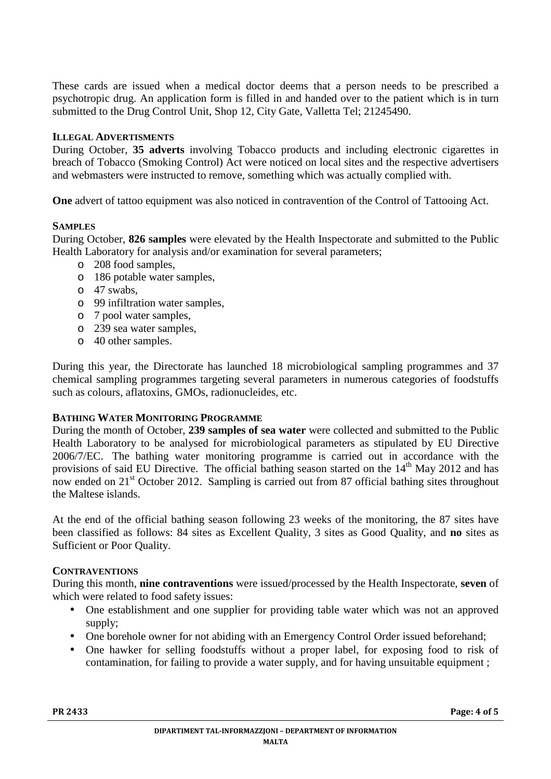These cards are issued when a medical doctor deems that a person needs to be prescribed a psychotropic drug. An application form is filled in and handed over to the patient which is in turn submitted to the Drug Control Unit, Shop 12, City Gate, Valletta Tel; 21245490.

### **ILLEGAL ADVERTISMENTS**

During October, **35 adverts** involving Tobacco products and including electronic cigarettes in breach of Tobacco (Smoking Control) Act were noticed on local sites and the respective advertisers and webmasters were instructed to remove, something which was actually complied with.

**One** advert of tattoo equipment was also noticed in contravention of the Control of Tattooing Act.

### **SAMPLES**

During October, **826 samples** were elevated by the Health Inspectorate and submitted to the Public Health Laboratory for analysis and/or examination for several parameters;

- o 208 food samples,
- o 186 potable water samples,
- o 47 swabs,
- o 99 infiltration water samples,
- o 7 pool water samples,
- o 239 sea water samples,
- o 40 other samples.

During this year, the Directorate has launched 18 microbiological sampling programmes and 37 chemical sampling programmes targeting several parameters in numerous categories of foodstuffs such as colours, aflatoxins, GMOs, radionucleides, etc.

#### **BATHING WATER MONITORING PROGRAMME**

During the month of October, **239 samples of sea water** were collected and submitted to the Public Health Laboratory to be analysed for microbiological parameters as stipulated by EU Directive 2006/7/EC. The bathing water monitoring programme is carried out in accordance with the provisions of said EU Directive. The official bathing season started on the  $14<sup>th</sup>$  May 2012 and has now ended on 21<sup>st</sup> October 2012. Sampling is carried out from 87 official bathing sites throughout the Maltese islands.

At the end of the official bathing season following 23 weeks of the monitoring, the 87 sites have been classified as follows: 84 sites as Excellent Quality, 3 sites as Good Quality, and **no** sites as Sufficient or Poor Quality.

#### **CONTRAVENTIONS**

During this month, **nine contraventions** were issued/processed by the Health Inspectorate, **seven** of which were related to food safety issues:

- One establishment and one supplier for providing table water which was not an approved supply;
- One borehole owner for not abiding with an Emergency Control Order issued beforehand;
- One hawker for selling foodstuffs without a proper label, for exposing food to risk of contamination, for failing to provide a water supply, and for having unsuitable equipment ;